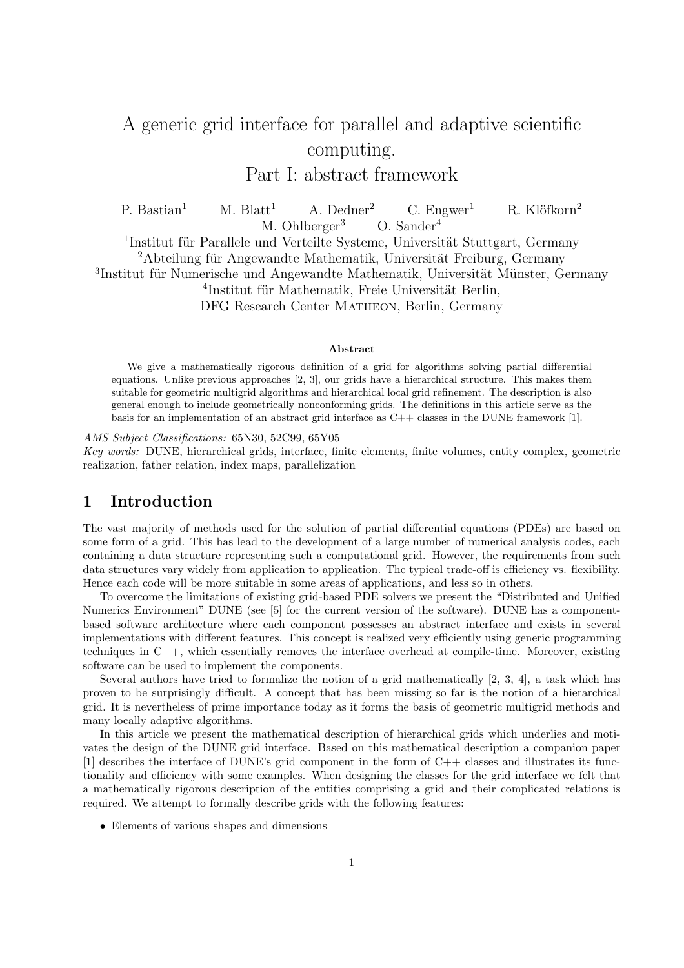# A generic grid interface for parallel and adaptive scientific computing. Part I: abstract framework

P. Bastian<sup>1</sup> M. Blatt<sup>1</sup> A. Dedner<sup>2</sup> C. Engwer<sup>1</sup> R. Klöfkorn<sup>2</sup> M. Ohlberger<sup>3</sup> O. Sander<sup>4</sup> <sup>1</sup>Institut für Parallele und Verteilte Systeme, Universität Stuttgart, Germany  $2$ Abteilung für Angewandte Mathematik, Universität Freiburg, Germany <sup>3</sup>Institut für Numerische und Angewandte Mathematik, Universität Münster, Germany <sup>4</sup>Institut für Mathematik, Freie Universität Berlin,

DFG Research Center Matheon, Berlin, Germany

#### Abstract

We give a mathematically rigorous definition of a grid for algorithms solving partial differential equations. Unlike previous approaches [2, 3], our grids have a hierarchical structure. This makes them suitable for geometric multigrid algorithms and hierarchical local grid refinement. The description is also general enough to include geometrically nonconforming grids. The definitions in this article serve as the basis for an implementation of an abstract grid interface as C++ classes in the DUNE framework [1].

AMS Subject Classifications: 65N30, 52C99, 65Y05 Key words: DUNE, hierarchical grids, interface, finite elements, finite volumes, entity complex, geometric realization, father relation, index maps, parallelization

### 1 Introduction

The vast majority of methods used for the solution of partial differential equations (PDEs) are based on some form of a grid. This has lead to the development of a large number of numerical analysis codes, each containing a data structure representing such a computational grid. However, the requirements from such data structures vary widely from application to application. The typical trade-off is efficiency vs. flexibility. Hence each code will be more suitable in some areas of applications, and less so in others.

To overcome the limitations of existing grid-based PDE solvers we present the "Distributed and Unified Numerics Environment" DUNE (see [5] for the current version of the software). DUNE has a componentbased software architecture where each component possesses an abstract interface and exists in several implementations with different features. This concept is realized very efficiently using generic programming techniques in C++, which essentially removes the interface overhead at compile-time. Moreover, existing software can be used to implement the components.

Several authors have tried to formalize the notion of a grid mathematically [2, 3, 4], a task which has proven to be surprisingly difficult. A concept that has been missing so far is the notion of a hierarchical grid. It is nevertheless of prime importance today as it forms the basis of geometric multigrid methods and many locally adaptive algorithms.

In this article we present the mathematical description of hierarchical grids which underlies and motivates the design of the DUNE grid interface. Based on this mathematical description a companion paper [1] describes the interface of DUNE's grid component in the form of  $C++$  classes and illustrates its functionality and efficiency with some examples. When designing the classes for the grid interface we felt that a mathematically rigorous description of the entities comprising a grid and their complicated relations is required. We attempt to formally describe grids with the following features:

• Elements of various shapes and dimensions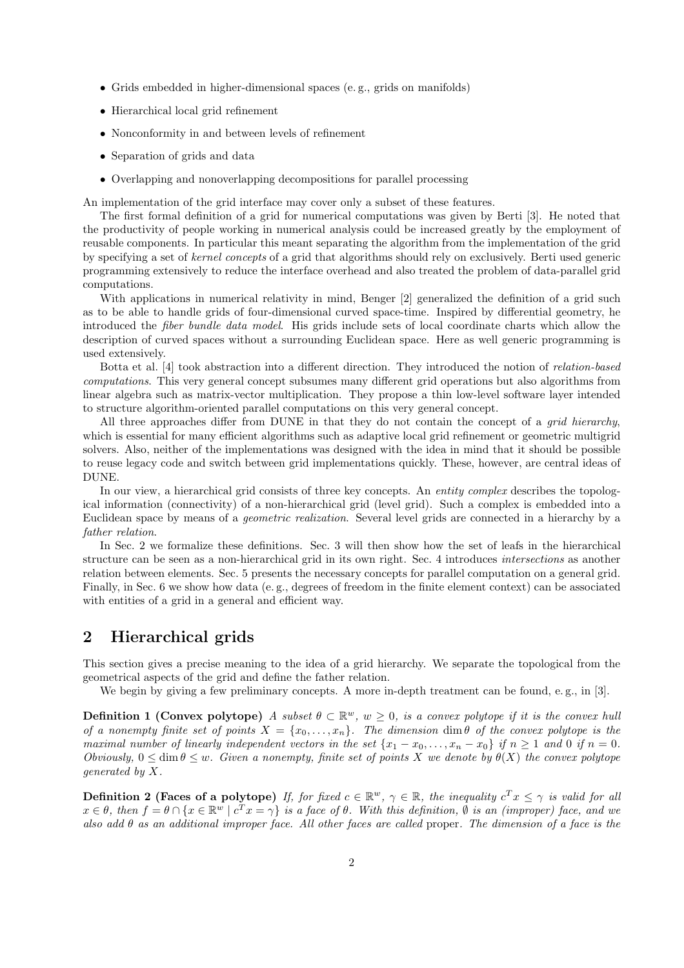- Grids embedded in higher-dimensional spaces (e. g., grids on manifolds)
- Hierarchical local grid refinement
- Nonconformity in and between levels of refinement
- Separation of grids and data
- Overlapping and nonoverlapping decompositions for parallel processing

An implementation of the grid interface may cover only a subset of these features.

The first formal definition of a grid for numerical computations was given by Berti [3]. He noted that the productivity of people working in numerical analysis could be increased greatly by the employment of reusable components. In particular this meant separating the algorithm from the implementation of the grid by specifying a set of kernel concepts of a grid that algorithms should rely on exclusively. Berti used generic programming extensively to reduce the interface overhead and also treated the problem of data-parallel grid computations.

With applications in numerical relativity in mind, Benger [2] generalized the definition of a grid such as to be able to handle grids of four-dimensional curved space-time. Inspired by differential geometry, he introduced the fiber bundle data model. His grids include sets of local coordinate charts which allow the description of curved spaces without a surrounding Euclidean space. Here as well generic programming is used extensively.

Botta et al. [4] took abstraction into a different direction. They introduced the notion of relation-based computations. This very general concept subsumes many different grid operations but also algorithms from linear algebra such as matrix-vector multiplication. They propose a thin low-level software layer intended to structure algorithm-oriented parallel computations on this very general concept.

All three approaches differ from DUNE in that they do not contain the concept of a *grid hierarchy*, which is essential for many efficient algorithms such as adaptive local grid refinement or geometric multigrid solvers. Also, neither of the implementations was designed with the idea in mind that it should be possible to reuse legacy code and switch between grid implementations quickly. These, however, are central ideas of DUNE.

In our view, a hierarchical grid consists of three key concepts. An entity complex describes the topological information (connectivity) of a non-hierarchical grid (level grid). Such a complex is embedded into a Euclidean space by means of a geometric realization. Several level grids are connected in a hierarchy by a father relation.

In Sec. 2 we formalize these definitions. Sec. 3 will then show how the set of leafs in the hierarchical structure can be seen as a non-hierarchical grid in its own right. Sec. 4 introduces intersections as another relation between elements. Sec. 5 presents the necessary concepts for parallel computation on a general grid. Finally, in Sec. 6 we show how data (e. g., degrees of freedom in the finite element context) can be associated with entities of a grid in a general and efficient way.

### 2 Hierarchical grids

This section gives a precise meaning to the idea of a grid hierarchy. We separate the topological from the geometrical aspects of the grid and define the father relation.

We begin by giving a few preliminary concepts. A more in-depth treatment can be found, e.g., in [3].

**Definition 1 (Convex polytope)** A subset  $\theta \subset \mathbb{R}^w$ ,  $w \ge 0$ , is a convex polytope if it is the convex hull of a nonempty finite set of points  $X = \{x_0, \ldots, x_n\}$ . The dimension dim  $\theta$  of the convex polytope is the maximal number of linearly independent vectors in the set  $\{x_1 - x_0, \ldots, x_n - x_0\}$  if  $n \ge 1$  and 0 if  $n = 0$ . Obviously,  $0 \le \dim \theta \le w$ . Given a nonempty, finite set of points X we denote by  $\theta(X)$  the convex polytope generated by X.

**Definition 2 (Faces of a polytope)** If, for fixed  $c \in \mathbb{R}^w$ ,  $\gamma \in \mathbb{R}$ , the inequality  $c^T x \leq \gamma$  is valid for all  $x \in \theta$ , then  $f = \theta \cap \{x \in \mathbb{R}^w \mid c^T x = \gamma\}$  is a face of  $\theta$ . With this definition,  $\emptyset$  is an (improper) face, and we also add  $\theta$  as an additional improper face. All other faces are called proper. The dimension of a face is the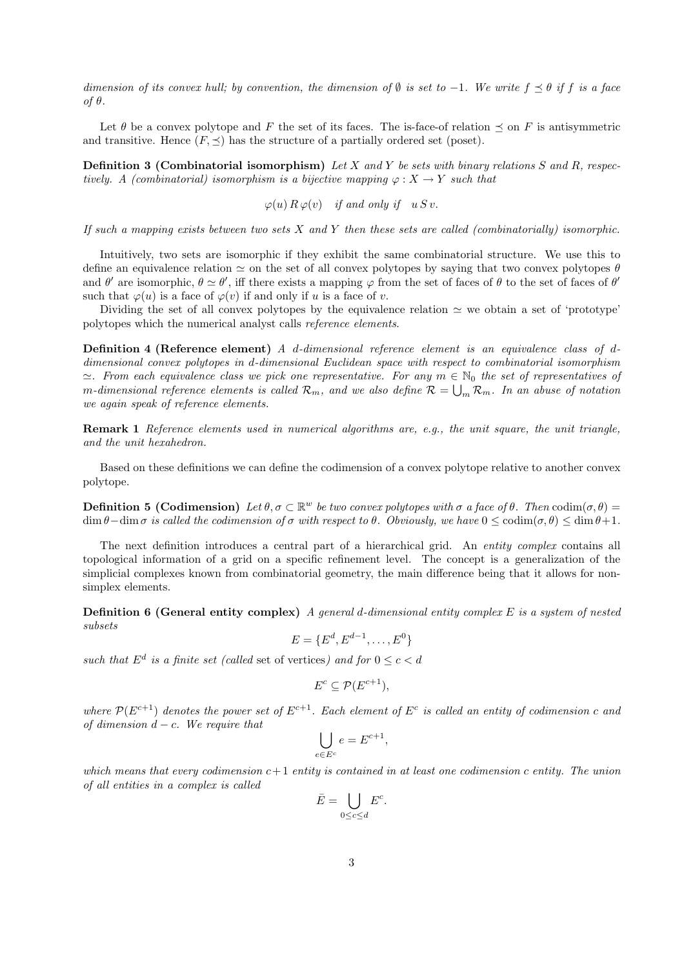dimension of its convex hull; by convention, the dimension of  $\emptyset$  is set to -1. We write  $f \preceq \theta$  if f is a face of θ.

Let  $\theta$  be a convex polytope and F the set of its faces. The is-face-of relation  $\preceq$  on F is antisymmetric and transitive. Hence  $(F, \preceq)$  has the structure of a partially ordered set (poset).

**Definition 3 (Combinatorial isomorphism)** Let X and Y be sets with binary relations S and R, respectively. A (combinatorial) isomorphism is a bijective mapping  $\varphi: X \to Y$  such that

 $\varphi(u) \, R \, \varphi(v)$  if and only if  $u S v$ .

If such a mapping exists between two sets  $X$  and  $Y$  then these sets are called (combinatorially) isomorphic.

Intuitively, two sets are isomorphic if they exhibit the same combinatorial structure. We use this to define an equivalence relation  $\simeq$  on the set of all convex polytopes by saying that two convex polytopes  $\theta$ and  $\theta'$  are isomorphic,  $\theta \simeq \theta'$ , iff there exists a mapping  $\varphi$  from the set of faces of  $\theta$  to the set of faces of  $\theta'$ such that  $\varphi(u)$  is a face of  $\varphi(v)$  if and only if u is a face of v.

Dividing the set of all convex polytopes by the equivalence relation  $\simeq$  we obtain a set of 'prototype' polytopes which the numerical analyst calls reference elements.

Definition 4 (Reference element) A d-dimensional reference element is an equivalence class of ddimensional convex polytopes in d-dimensional Euclidean space with respect to combinatorial isomorphism  $\cong$ . From each equivalence class we pick one representative. For any  $m \in \mathbb{N}_0$  the set of representatives of m-dimensional reference elements is called  $\mathcal{R}_m$ , and we also define  $\mathcal{R}=\bigcup_m \mathcal{R}_m$ . In an abuse of notation we again speak of reference elements.

Remark 1 Reference elements used in numerical algorithms are, e.g., the unit square, the unit triangle, and the unit hexahedron.

Based on these definitions we can define the codimension of a convex polytope relative to another convex polytope.

**Definition 5 (Codimension)** Let  $\theta, \sigma \in \mathbb{R}^w$  be two convex polytopes with  $\sigma$  a face of  $\theta$ . Then  $\text{codim}(\sigma, \theta) =$  $\dim \theta$ −dim  $\sigma$  is called the codimension of  $\sigma$  with respect to  $\theta$ . Obviously, we have  $0 \leq \operatorname{codim}(\sigma, \theta) \leq \dim \theta + 1$ .

The next definition introduces a central part of a hierarchical grid. An *entity complex* contains all topological information of a grid on a specific refinement level. The concept is a generalization of the simplicial complexes known from combinatorial geometry, the main difference being that it allows for nonsimplex elements.

**Definition 6 (General entity complex)** A general d-dimensional entity complex  $E$  is a system of nested subsets

 $E = \{E^d, E^{d-1}, \ldots, E^0\}$ 

such that  $E^d$  is a finite set (called set of vertices) and for  $0 \leq c < d$ 

$$
E^c \subseteq \mathcal{P}(E^{c+1}),
$$

where  $\mathcal{P}(E^{c+1})$  denotes the power set of  $E^{c+1}$ . Each element of  $E^c$  is called an entity of codimension c and of dimension  $d - c$ . We require that

,

$$
\bigcup_{e\in E^c}e=E^{c+1}
$$

which means that every codimension  $c+1$  entity is contained in at least one codimension c entity. The union of all entities in a complex is called

$$
\bar{E} = \bigcup_{0 \le c \le d} E^c.
$$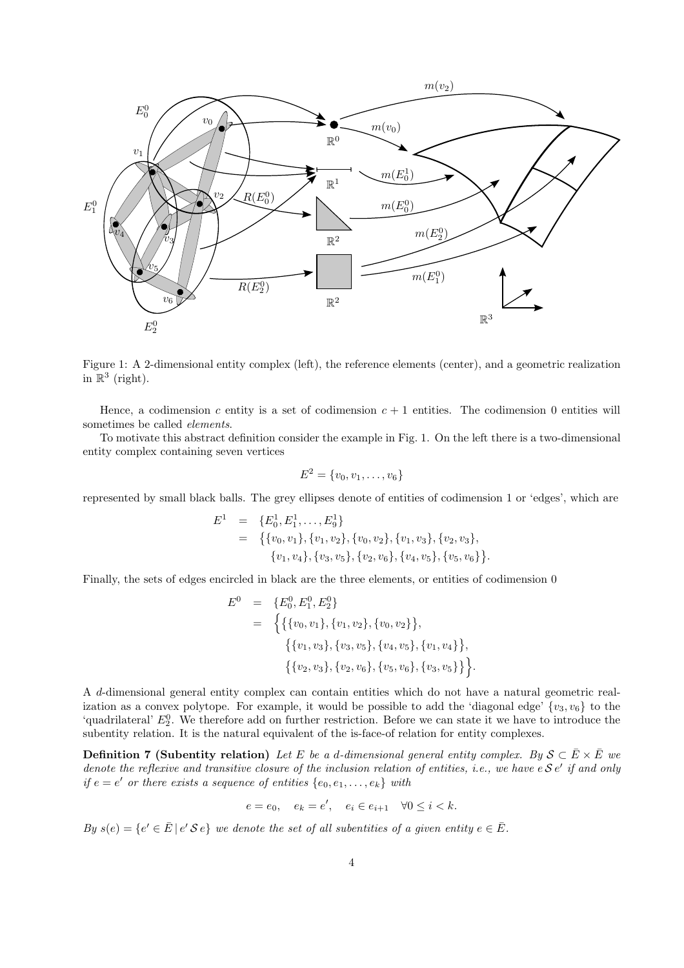

Figure 1: A 2-dimensional entity complex (left), the reference elements (center), and a geometric realization in  $\mathbb{R}^3$  (right).

Hence, a codimension c entity is a set of codimension  $c + 1$  entities. The codimension 0 entities will sometimes be called elements.

To motivate this abstract definition consider the example in Fig. 1. On the left there is a two-dimensional entity complex containing seven vertices

$$
E^2 = \{v_0, v_1, \ldots, v_6\}
$$

represented by small black balls. The grey ellipses denote of entities of codimension 1 or 'edges', which are

$$
E1 = \{E_01, E_11, \ldots, E_91\}= \{\{v_0, v_1\}, \{v_1, v_2\}, \{v_0, v_2\}, \{v_1, v_3\}, \{v_2, v_3\}, \{v_1, v_4\}, \{v_3, v_5\}, \{v_2, v_6\}, \{v_4, v_5\}, \{v_5, v_6\}\}.
$$

Finally, the sets of edges encircled in black are the three elements, or entities of codimension 0

$$
E^{0} = \{E_{0}^{0}, E_{1}^{0}, E_{2}^{0}\}
$$
  
= 
$$
\{ \{ \{v_{0}, v_{1}\}, \{v_{1}, v_{2}\}, \{v_{0}, v_{2}\} \}, \{ \{v_{1}, v_{3}\}, \{v_{3}, v_{5}\}, \{v_{4}, v_{5}\}, \{v_{1}, v_{4}\} \}, \{ \{v_{2}, v_{3}\}, \{v_{2}, v_{6}\}, \{v_{5}, v_{6}\}, \{v_{3}, v_{5}\} \} \}.
$$

A d-dimensional general entity complex can contain entities which do not have a natural geometric realization as a convex polytope. For example, it would be possible to add the 'diagonal edge'  $\{v_3, v_6\}$  to the 'quadrilateral'  $E_2^0$ . We therefore add on further restriction. Before we can state it we have to introduce the subentity relation. It is the natural equivalent of the is-face-of relation for entity complexes.

**Definition 7 (Subentity relation)** Let E be a d-dimensional general entity complex. By  $S \subseteq \overline{E} \times \overline{E}$  we denote the reflexive and transitive closure of the inclusion relation of entities, i.e., we have  $e S e'$  if and only if  $e = e'$  or there exists a sequence of entities  $\{e_0, e_1, \ldots, e_k\}$  with

$$
e = e_0, \quad e_k = e', \quad e_i \in e_{i+1} \quad \forall 0 \le i < k.
$$

By  $s(e) = \{e' \in \overline{E} \mid e' \mathcal{S} e\}$  we denote the set of all subentities of a given entity  $e \in \overline{E}$ .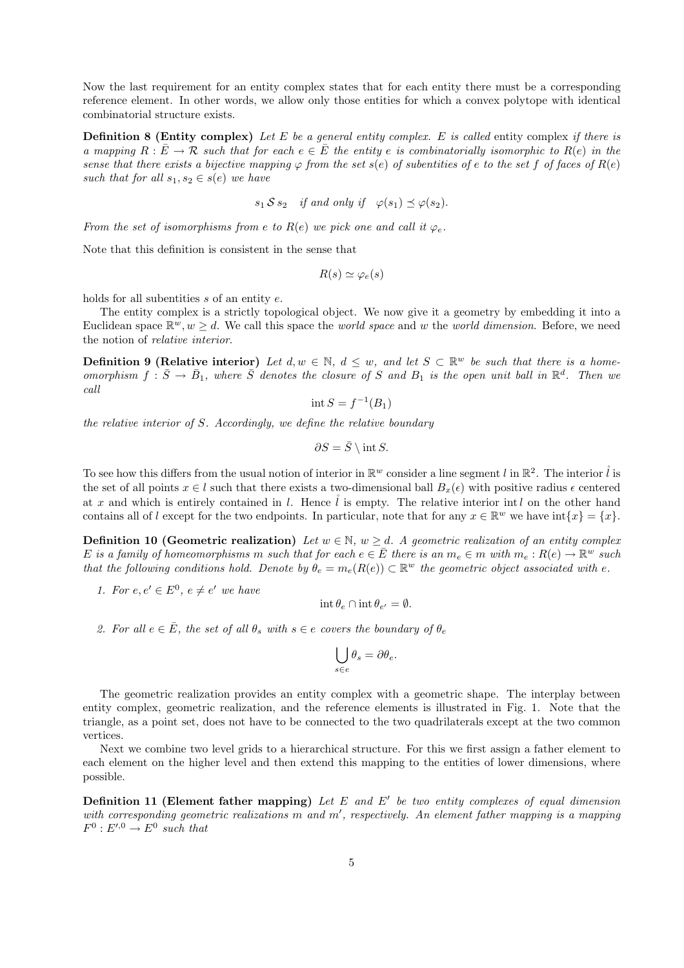Now the last requirement for an entity complex states that for each entity there must be a corresponding reference element. In other words, we allow only those entities for which a convex polytope with identical combinatorial structure exists.

**Definition 8 (Entity complex)** Let E be a general entity complex. E is called entity complex if there is a mapping  $R : E \to \mathcal{R}$  such that for each  $e \in E$  the entity e is combinatorially isomorphic to  $R(e)$  in the sense that there exists a bijective mapping  $\varphi$  from the set  $s(e)$  of subentities of e to the set f of faces of  $R(e)$ such that for all  $s_1, s_2 \in s(e)$  we have

$$
s_1 \mathcal{S} s_2
$$
 if and only if  $\varphi(s_1) \preceq \varphi(s_2)$ .

From the set of isomorphisms from e to  $R(e)$  we pick one and call it  $\varphi_e$ .

Note that this definition is consistent in the sense that

$$
R(s) \simeq \varphi_e(s)
$$

holds for all subentities s of an entity e.

The entity complex is a strictly topological object. We now give it a geometry by embedding it into a Euclidean space  $\mathbb{R}^w, w \geq d$ . We call this space the *world space* and w the *world dimension*. Before, we need the notion of relative interior.

**Definition 9 (Relative interior)** Let  $d, w \in \mathbb{N}$ ,  $d \leq w$ , and let  $S \subset \mathbb{R}^w$  be such that there is a homeomorphism  $f: \overline{S} \to \overline{B}_1$ , where  $\overline{S}$  denotes the closure of S and  $B_1$  is the open unit ball in  $\mathbb{R}^d$ . Then we call

$$
int S = f^{-1}(B_1)
$$

the relative interior of  $S$ . Accordingly, we define the relative boundary

$$
\partial S = \bar{S} \setminus \text{int } S.
$$

To see how this differs from the usual notion of interior in  $\mathbb{R}^w$  consider a line segment l in  $\mathbb{R}^2$ . The interior  $\mathring{l}$  is the set of all points  $x \in l$  such that there exists a two-dimensional ball  $B_x(\epsilon)$  with positive radius  $\epsilon$  centered at x and which is entirely contained in l. Hence  $\hat{l}$  is empty. The relative interior intl on the other hand contains all of l except for the two endpoints. In particular, note that for any  $x \in \mathbb{R}^w$  we have  $\text{int}\{x\} = \{x\}.$ 

**Definition 10 (Geometric realization)** Let  $w \in \mathbb{N}$ ,  $w \geq d$ . A geometric realization of an entity complex E is a family of homeomorphisms m such that for each  $e \in \overline{E}$  there is an  $m_e \in m$  with  $m_e: R(e) \to \mathbb{R}^w$  such that the following conditions hold. Denote by  $\theta_e = m_e(R(e)) \subset \mathbb{R}^w$  the geometric object associated with e.

1. For  $e, e' \in E^0$ ,  $e \neq e'$  we have

$$
\operatorname{int} \theta_e \cap \operatorname{int} \theta_{e'} = \emptyset.
$$

2. For all  $e \in \overline{E}$ , the set of all  $\theta_s$  with  $s \in e$  covers the boundary of  $\theta_e$ 

$$
\bigcup_{s\in e}\theta_s=\partial\theta_e.
$$

The geometric realization provides an entity complex with a geometric shape. The interplay between entity complex, geometric realization, and the reference elements is illustrated in Fig. 1. Note that the triangle, as a point set, does not have to be connected to the two quadrilaterals except at the two common vertices.

Next we combine two level grids to a hierarchical structure. For this we first assign a father element to each element on the higher level and then extend this mapping to the entities of lower dimensions, where possible.

**Definition 11 (Element father mapping)** Let  $E$  and  $E'$  be two entity complexes of equal dimension with corresponding geometric realizations m and m', respectively. An element father mapping is a mapping  $F^0: E^{\prime,0} \to E^0$  such that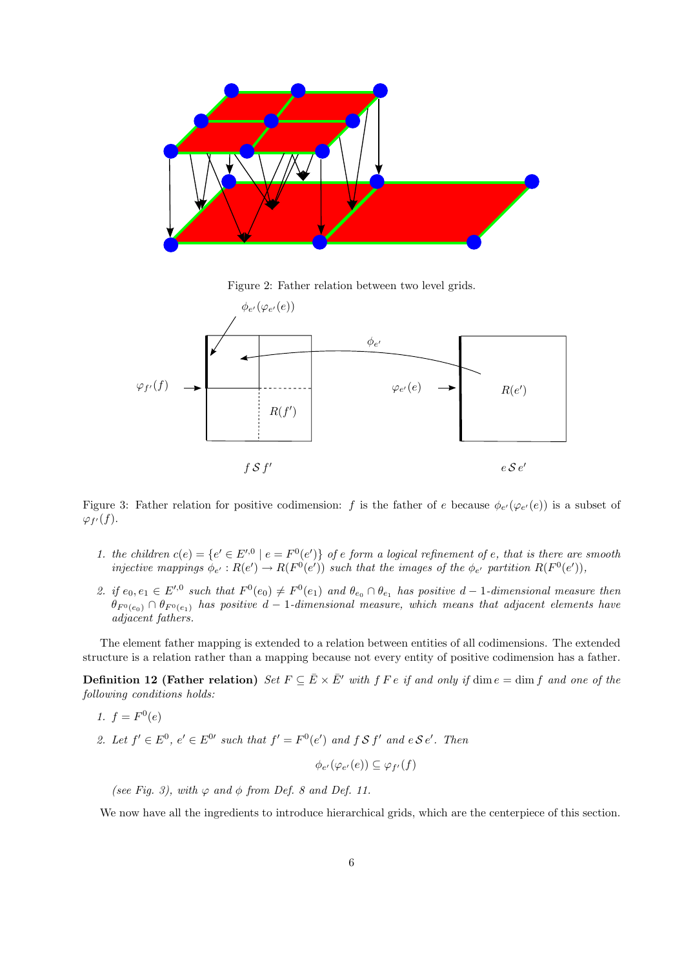

Figure 2: Father relation between two level grids.



Figure 3: Father relation for positive codimension: f is the father of e because  $\phi_{e'}(\varphi_{e'}(e))$  is a subset of  $\varphi_{f'}(f)$ .

- 1. the children  $c(e) = \{e' \in E'^{,0} \mid e = F^{0}(e')\}$  of e form a logical refinement of e, that is there are smooth injective mappings  $\phi_{e'} : R(e') \to R(F^0(e'))$  such that the images of the  $\phi_{e'}$  partition  $R(F^0(e'))$ ,
- 2. if  $e_0, e_1 \in E'^{0}$  such that  $F^0(e_0) \neq F^0(e_1)$  and  $\theta_{e_0} \cap \theta_{e_1}$  has positive  $d-1$ -dimensional measure then  $\theta_{F^0(e_0)} \cap \theta_{F^0(e_1)}$  has positive  $d-1$ -dimensional measure, which means that adjacent elements have adjacent fathers.

The element father mapping is extended to a relation between entities of all codimensions. The extended structure is a relation rather than a mapping because not every entity of positive codimension has a father.

**Definition 12 (Father relation)** Set  $F \subseteq \overline{E} \times \overline{E}'$  with f F e if and only if dim  $e = \dim f$  and one of the following conditions holds:

$$
1. f = F^0(e)
$$

2. Let  $f' \in E^0$ ,  $e' \in E^{0'}$  such that  $f' = F^0(e')$  and  $f S f'$  and  $e S e'$ . Then

 $\phi_{e'}(\varphi_{e'}(e)) \subseteq \varphi_{f'}(f)$ 

(see Fig. 3), with  $\varphi$  and  $\varphi$  from Def. 8 and Def. 11.

We now have all the ingredients to introduce hierarchical grids, which are the centerpiece of this section.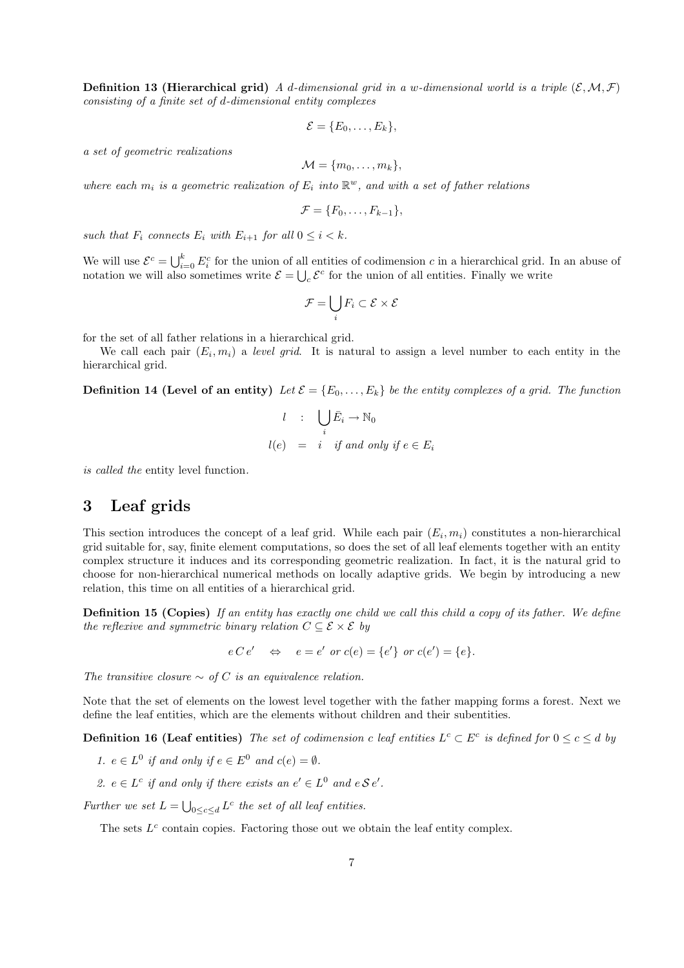**Definition 13 (Hierarchical grid)** A d-dimensional grid in a w-dimensional world is a triple  $(\mathcal{E}, \mathcal{M}, \mathcal{F})$ consisting of a finite set of d-dimensional entity complexes

$$
\mathcal{E} = \{E_0, \ldots, E_k\},\
$$

a set of geometric realizations

$$
\mathcal{M} = \{m_0, \ldots, m_k\},\
$$

where each  $m_i$  is a geometric realization of  $E_i$  into  $\mathbb{R}^w$ , and with a set of father relations

$$
\mathcal{F} = \{F_0, \ldots, F_{k-1}\},\
$$

such that  $F_i$  connects  $E_i$  with  $E_{i+1}$  for all  $0 \leq i \leq k$ .

We will use  $\mathcal{E}^c = \bigcup_{i=0}^k E_i^c$  for the union of all entities of codimension c in a hierarchical grid. In an abuse of notation we will also sometimes write  $\mathcal{E} = \bigcup_c \mathcal{E}^c$  for the union of all entities. Finally we write

$$
\mathcal{F} = \bigcup_i F_i \subset \mathcal{E} \times \mathcal{E}
$$

for the set of all father relations in a hierarchical grid.

We call each pair  $(E_i, m_i)$  a level grid. It is natural to assign a level number to each entity in the hierarchical grid.

**Definition 14 (Level of an entity)** Let  $\mathcal{E} = \{E_0, \ldots, E_k\}$  be the entity complexes of a grid. The function

$$
l : \bigcup_{i} \bar{E}_i \to \mathbb{N}_0
$$
  

$$
l(e) = i \text{ if and only if } e \in E_i
$$

is called the entity level function.

### 3 Leaf grids

This section introduces the concept of a leaf grid. While each pair  $(E_i, m_i)$  constitutes a non-hierarchical grid suitable for, say, finite element computations, so does the set of all leaf elements together with an entity complex structure it induces and its corresponding geometric realization. In fact, it is the natural grid to choose for non-hierarchical numerical methods on locally adaptive grids. We begin by introducing a new relation, this time on all entities of a hierarchical grid.

Definition 15 (Copies) If an entity has exactly one child we call this child a copy of its father. We define the reflexive and symmetric binary relation  $C \subseteq \mathcal{E} \times \mathcal{E}$  by

 $e C e' \Leftrightarrow e = e' \text{ or } c(e) = \{e'\} \text{ or } c(e') = \{e\}.$ 

The transitive closure  $\sim$  of C is an equivalence relation.

Note that the set of elements on the lowest level together with the father mapping forms a forest. Next we define the leaf entities, which are the elements without children and their subentities.

**Definition 16 (Leaf entities)** The set of codimension c leaf entities  $L^c \subset E^c$  is defined for  $0 \le c \le d$  by

1. 
$$
e \in L^0
$$
 if and only if  $e \in E^0$  and  $c(e) = \emptyset$ .

2.  $e \in L^c$  if and only if there exists an  $e' \in L^0$  and  $e \mathcal{S} e'$ .

Further we set  $L = \bigcup_{0 \leq c \leq d} L^c$  the set of all leaf entities.

The sets  $L^c$  contain copies. Factoring those out we obtain the leaf entity complex.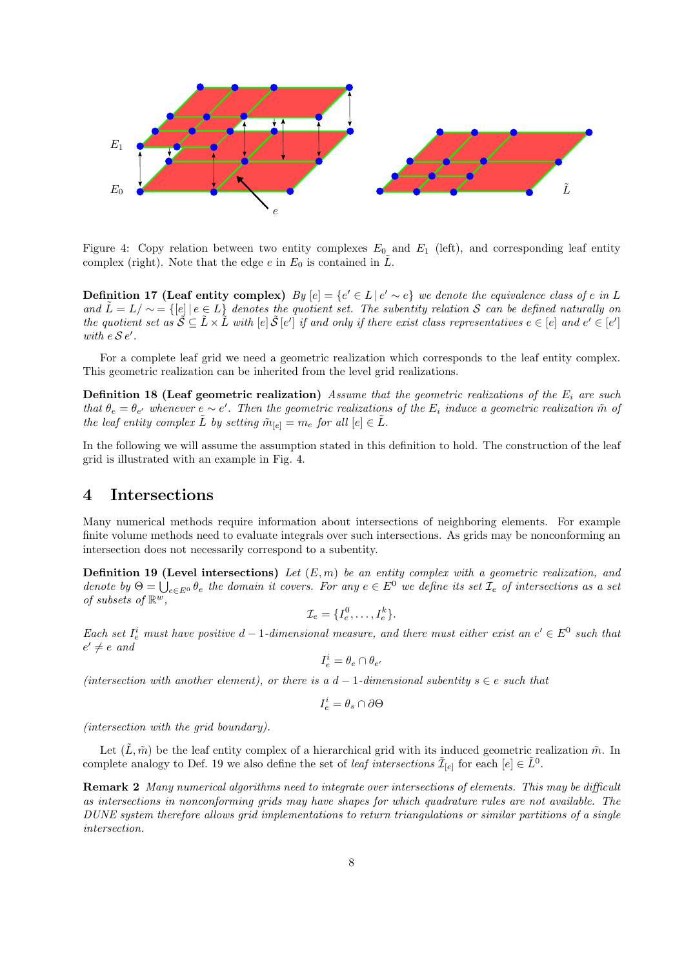

Figure 4: Copy relation between two entity complexes  $E_0$  and  $E_1$  (left), and corresponding leaf entity complex (right). Note that the edge  $e$  in  $E_0$  is contained in  $L$ .

**Definition 17 (Leaf entity complex)**  $By [e] = \{e' \in L | e' \sim e\}$  we denote the equivalence class of e in L and  $\tilde{L} = L/\sim = \{[e] \mid e \in L\}$  denotes the quotient set. The subentity relation S can be defined naturally on the quotient set as  $\mathcal{S} \subseteq \mathcal{L} \times \mathcal{L}$  with  $[e] \mathcal{S}[e']$  if and only if there exist class representatives  $e \in [e]$  and  $e' \in [e']$ with  $e S e'$ .

For a complete leaf grid we need a geometric realization which corresponds to the leaf entity complex. This geometric realization can be inherited from the level grid realizations.

**Definition 18 (Leaf geometric realization)** Assume that the geometric realizations of the  $E_i$  are such that  $\theta_e = \theta_{e'}$  whenever  $e \sim e'$ . Then the geometric realizations of the  $E_i$  induce a geometric realization  $\tilde{m}$  of the leaf entity complex  $\tilde{L}$  by setting  $\tilde{m}_{[e]} = m_e$  for all  $[e] \in \tilde{L}$ .

In the following we will assume the assumption stated in this definition to hold. The construction of the leaf grid is illustrated with an example in Fig. 4.

### 4 Intersections

Many numerical methods require information about intersections of neighboring elements. For example finite volume methods need to evaluate integrals over such intersections. As grids may be nonconforming an intersection does not necessarily correspond to a subentity.

**Definition 19 (Level intersections)** Let  $(E, m)$  be an entity complex with a geometric realization, and denote by  $\Theta = \bigcup_{e \in E^0} \theta_e$  the domain it covers. For any  $e \in E^0$  we define its set  $\mathcal{I}_e$  of intersections as a set of subsets of  $\mathbb{R}^w$ ,

$$
\mathcal{I}_e = \{I_e^0, \ldots, I_e^k\}.
$$

Each set  $I_e^i$  must have positive  $d-1$ -dimensional measure, and there must either exist an  $e' \in E^0$  such that  $e' \neq e$  and

$$
I_e^i = \theta_e \cap \theta_{e'}
$$

(intersection with another element), or there is a  $d-1$ -dimensional subentity  $s \in e$  such that

$$
I_e^i = \theta_s \cap \partial \Theta
$$

(intersection with the grid boundary).

Let  $(\tilde{L}, \tilde{m})$  be the leaf entity complex of a hierarchical grid with its induced geometric realization  $\tilde{m}$ . In complete analogy to Def. 19 we also define the set of *leaf intersections*  $\tilde{\mathcal{I}}_{[e]}$  for each  $[e] \in \tilde{L}^0$ .

Remark 2 Many numerical algorithms need to integrate over intersections of elements. This may be difficult as intersections in nonconforming grids may have shapes for which quadrature rules are not available. The DUNE system therefore allows grid implementations to return triangulations or similar partitions of a single intersection.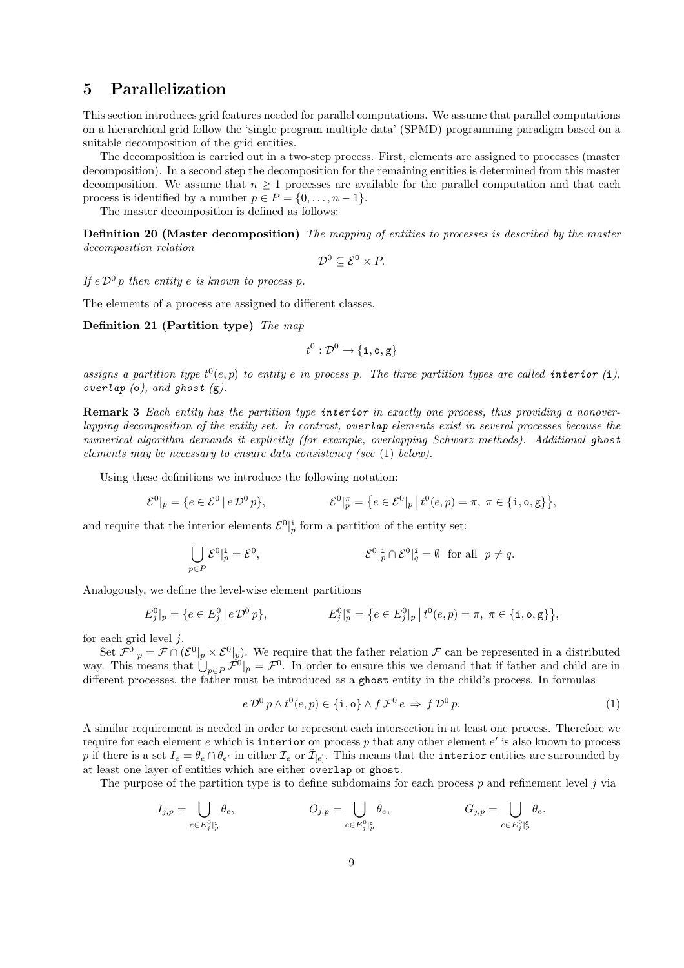# 5 Parallelization

This section introduces grid features needed for parallel computations. We assume that parallel computations on a hierarchical grid follow the 'single program multiple data' (SPMD) programming paradigm based on a suitable decomposition of the grid entities.

The decomposition is carried out in a two-step process. First, elements are assigned to processes (master decomposition). In a second step the decomposition for the remaining entities is determined from this master decomposition. We assume that  $n \geq 1$  processes are available for the parallel computation and that each process is identified by a number  $p \in P = \{0, \ldots, n-1\}.$ 

The master decomposition is defined as follows:

Definition 20 (Master decomposition) The mapping of entities to processes is described by the master decomposition relation

$$
\mathcal{D}^0 \subseteq \mathcal{E}^0 \times P.
$$

If  $e \mathcal{D}^0 p$  then entity e is known to process p.

The elements of a process are assigned to different classes.

Definition 21 (Partition type) The map

$$
t^0:\mathcal{D}^0\to\{\mathtt{i},\mathtt{o},\mathtt{g}\}
$$

assigns a partition type  $t^0(e, p)$  to entity e in process p. The three partition types are called interior (i), overlap  $(o)$ , and ghost  $(g)$ .

Remark 3 Each entity has the partition type interior in exactly one process, thus providing a nonoverlapping decomposition of the entity set. In contrast, overlap elements exist in several processes because the numerical algorithm demands it explicitly (for example, overlapping Schwarz methods). Additional ghost elements may be necessary to ensure data consistency (see (1) below).

Using these definitions we introduce the following notation:

$$
\mathcal{E}^0|_p = \{ e \in \mathcal{E}^0 | e \, \mathcal{D}^0 p \}, \qquad \qquad \mathcal{E}^0|_p^{\pi} = \{ e \in \mathcal{E}^0|_p | t^0(e, p) = \pi, \ \pi \in \{ \text{i, o, g} \} \},
$$

and require that the interior elements  $\mathcal{E}^0|^{\mathbf{i}}_p$  form a partition of the entity set:

$$
\bigcup_{p \in P} \mathcal{E}^0|^{\mathbf{i}}_p = \mathcal{E}^0,
$$
\n
$$
\mathcal{E}^0|^{\mathbf{i}}_p \cap \mathcal{E}^0|^{\mathbf{i}}_q = \emptyset \text{ for all } p \neq q.
$$

Analogously, we define the level-wise element partitions

$$
E_j^0|_p = \{e \in E_j^0 \mid e \, \mathcal{D}^0 \, p\}, \qquad \qquad E_j^0|_p^\pi = \{e \in E_j^0|_p \mid t^0(e, p) = \pi, \ \pi \in \{\text{i}, \text{o}, \text{g}\}\},
$$

for each grid level  $j$ .

Set  $\mathcal{F}^0|_p = \mathcal{F} \cap (\mathcal{E}^0|_p \times \mathcal{E}^0|_p)$ . We require that the father relation  $\mathcal{F}$  can be represented in a distributed way. This means that  $\bigcup_{p\in P} \mathcal{F}^0|_p = \mathcal{F}^0$ . In order to ensure this we demand that if father and child are in different processes, the father must be introduced as a ghost entity in the child's process. In formulas

$$
e \, \mathcal{D}^0 \, p \wedge t^0(e, p) \in \{\mathbf{i}, \mathbf{o}\} \wedge f \, \mathcal{F}^0 \, e \Rightarrow f \, \mathcal{D}^0 \, p. \tag{1}
$$

A similar requirement is needed in order to represent each intersection in at least one process. Therefore we require for each element  $e$  which is interior on process  $p$  that any other element  $e'$  is also known to process p if there is a set  $I_e = \theta_e \cap \theta_{e'}$  in either  $\mathcal{I}_e$  or  $\tilde{\mathcal{I}}_{[e]}$ . This means that the interior entities are surrounded by at least one layer of entities which are either overlap or ghost.

The purpose of the partition type is to define subdomains for each process  $p$  and refinement level  $j$  via

$$
I_{j,p} = \bigcup_{e \in E_j^0 \mid_p^i} \theta_e, \qquad O_{j,p} = \bigcup_{e \in E_j^0 \mid_p^o} \theta_e, \qquad G_{j,p} = \bigcup_{e \in E_j^0 \mid_p^g} \theta_e.
$$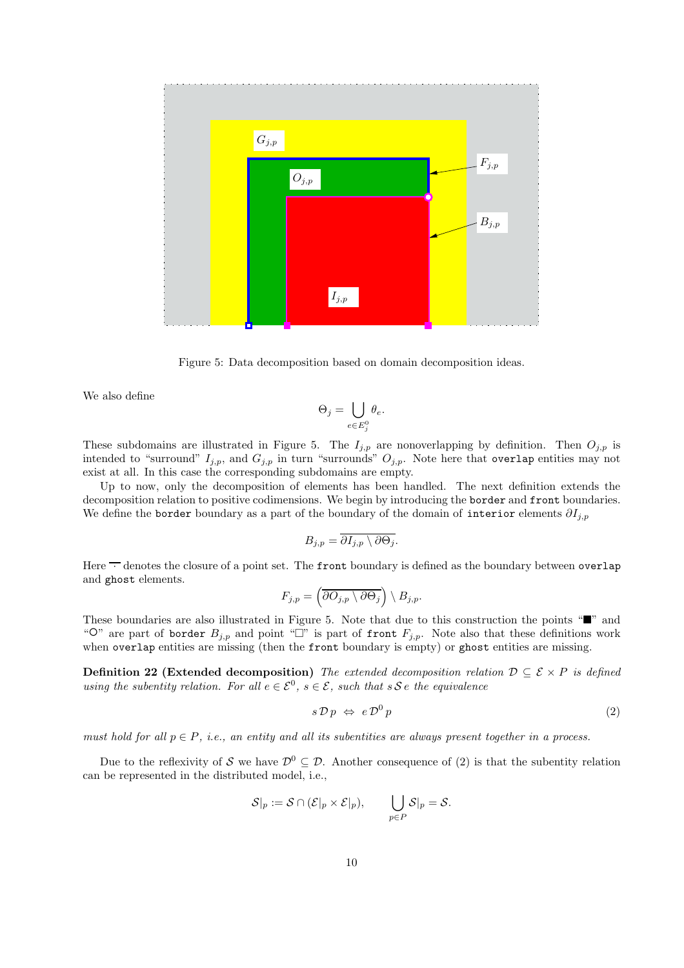

Figure 5: Data decomposition based on domain decomposition ideas.

We also define

$$
\Theta_j = \bigcup_{e \in E_j^0} \theta_e.
$$

These subdomains are illustrated in Figure 5. The  $I_{j,p}$  are nonoverlapping by definition. Then  $O_{j,p}$  is intended to "surround"  $I_{j,p}$ , and  $G_{j,p}$  in turn "surrounds"  $O_{j,p}$ . Note here that overlap entities may not exist at all. In this case the corresponding subdomains are empty.

Up to now, only the decomposition of elements has been handled. The next definition extends the decomposition relation to positive codimensions. We begin by introducing the border and front boundaries. We define the border boundary as a part of the boundary of the domain of interior elements  $\partial I_{j,p}$ 

$$
B_{j,p} = \overline{\partial I_{j,p} \setminus \partial \Theta_j}.
$$

Here  $\overline{\cdot}$  denotes the closure of a point set. The front boundary is defined as the boundary between overlap and ghost elements.

$$
F_{j,p} = \left(\overline{\partial O_{j,p} \setminus \partial \Theta_j}\right) \setminus B_{j,p}.
$$

These boundaries are also illustrated in Figure 5. Note that due to this construction the points " $\blacksquare$ " and "<sup>O</sup>" are part of border  $B_{j,p}$  and point " $\square$ " is part of front  $F_{j,p}$ . Note also that these definitions work when overlap entities are missing (then the front boundary is empty) or ghost entities are missing.

**Definition 22 (Extended decomposition)** The extended decomposition relation  $D \subseteq \mathcal{E} \times P$  is defined using the subentity relation. For all  $e \in \mathcal{E}^0$ ,  $s \in \mathcal{E}$ , such that  $s \mathcal{S} e$  the equivalence

$$
s \mathcal{D} p \iff e \mathcal{D}^0 p \tag{2}
$$

must hold for all  $p \in P$ , i.e., an entity and all its subentities are always present together in a process.

Due to the reflexivity of S we have  $\mathcal{D}^0 \subseteq \mathcal{D}$ . Another consequence of (2) is that the subentity relation can be represented in the distributed model, i.e.,

$$
\mathcal{S}|_p := \mathcal{S} \cap (\mathcal{E}|_p \times \mathcal{E}|_p), \qquad \bigcup_{p \in P} \mathcal{S}|_p = \mathcal{S}.
$$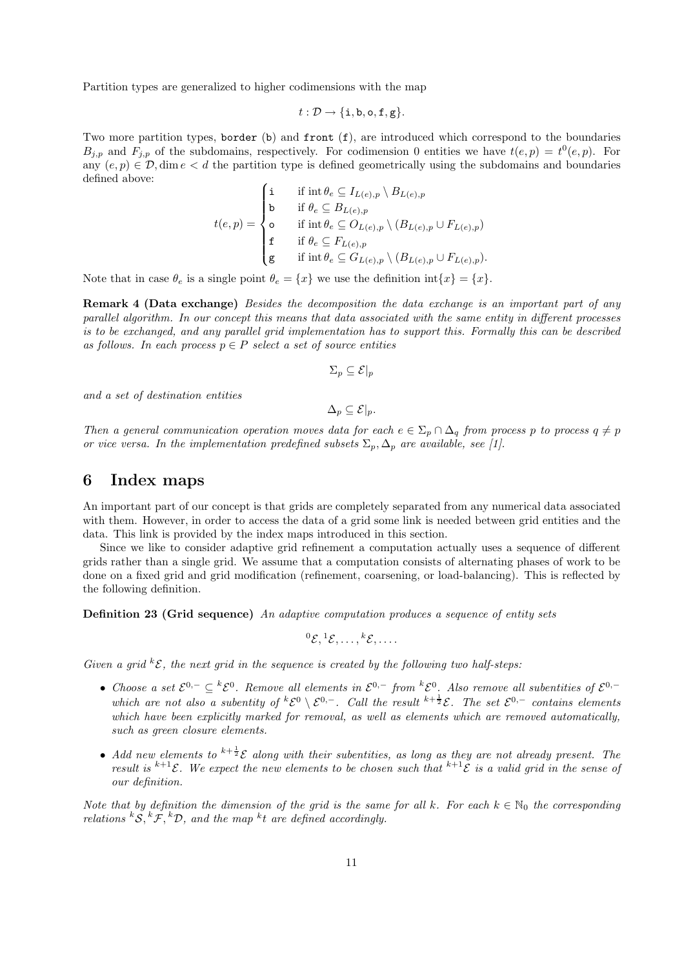Partition types are generalized to higher codimensions with the map

$$
t:\mathcal{D}\to\{\mathtt{i},\mathtt{b},\mathtt{o},\mathtt{f},\mathtt{g}\}.
$$

Two more partition types, border  $(b)$  and front  $(f)$ , are introduced which correspond to the boundaries  $B_{j,p}$  and  $F_{j,p}$  of the subdomains, respectively. For codimension 0 entities we have  $t(e, p) = t^0(e, p)$ . For any  $(e, p) \in \mathcal{D}$ , dim  $e < d$  the partition type is defined geometrically using the subdomains and boundaries defined above:

$$
t(e,p) = \begin{cases} \n\mathbf{i} & \text{if } \operatorname{int} \theta_e \subseteq I_{L(e),p} \setminus B_{L(e),p} \\ \n\mathbf{b} & \text{if } \theta_e \subseteq B_{L(e),p} \\ \n\mathbf{o} & \text{if } \operatorname{int} \theta_e \subseteq O_{L(e),p} \setminus (B_{L(e),p} \cup F_{L(e),p}) \\ \n\mathbf{f} & \text{if } \theta_e \subseteq F_{L(e),p} \\ \n\mathbf{g} & \text{if } \operatorname{int} \theta_e \subseteq G_{L(e),p} \setminus (B_{L(e),p} \cup F_{L(e),p}). \n\end{cases}
$$

Note that in case  $\theta_e$  is a single point  $\theta_e = \{x\}$  we use the definition int $\{x\} = \{x\}.$ 

Remark 4 (Data exchange) Besides the decomposition the data exchange is an important part of any parallel algorithm. In our concept this means that data associated with the same entity in different processes is to be exchanged, and any parallel grid implementation has to support this. Formally this can be described as follows. In each process  $p \in P$  select a set of source entities

$$
\Sigma_p\subseteq \mathcal E|_p
$$

and a set of destination entities

$$
\Delta_p\subseteq \mathcal{E}|_p.
$$

Then a general communication operation moves data for each  $e \in \Sigma_p \cap \Delta_q$  from process p to process  $q \neq p$ or vice versa. In the implementation predefined subsets  $\Sigma_p$ ,  $\Delta_p$  are available, see [1].

#### 6 Index maps

An important part of our concept is that grids are completely separated from any numerical data associated with them. However, in order to access the data of a grid some link is needed between grid entities and the data. This link is provided by the index maps introduced in this section.

Since we like to consider adaptive grid refinement a computation actually uses a sequence of different grids rather than a single grid. We assume that a computation consists of alternating phases of work to be done on a fixed grid and grid modification (refinement, coarsening, or load-balancing). This is reflected by the following definition.

Definition 23 (Grid sequence) An adaptive computation produces a sequence of entity sets

$$
{}^0{\mathcal E},{}^1{\mathcal E},\ldots,{}^k{\mathcal E},\ldots.
$$

Given a grid  ${}^k{\mathcal{E}}$ , the next grid in the sequence is created by the following two half-steps:

- Choose a set  $\mathcal{E}^{0,-} \subseteq {}^k \mathcal{E}^0$ . Remove all elements in  $\mathcal{E}^{0,-}$  from  ${}^k \mathcal{E}^0$ . Also remove all subentities of  $\mathcal{E}^{0,-}$ which are not also a subentity of  ${}^k{\mathcal{E}}^0 \setminus {\mathcal{E}}^{0,-}$ . Call the result  ${}^{k+\frac{1}{2}}{\mathcal{E}}$ . The set  ${\mathcal{E}}^{0,-}$  contains elements which have been explicitly marked for removal, as well as elements which are removed automatically, such as green closure elements.
- Add new elements to  $k+\frac{1}{2}$  along with their subentities, as long as they are not already present. The result is  $k+1\varepsilon$ . We expect the new elements to be chosen such that  $k+1\varepsilon$  is a valid grid in the sense of our definition.

Note that by definition the dimension of the grid is the same for all k. For each  $k \in \mathbb{N}_0$  the corresponding relations  ${}^kS, {}^k\mathcal{F}, {}^k\mathcal{D}$ , and the map  ${}^kt$  are defined accordingly.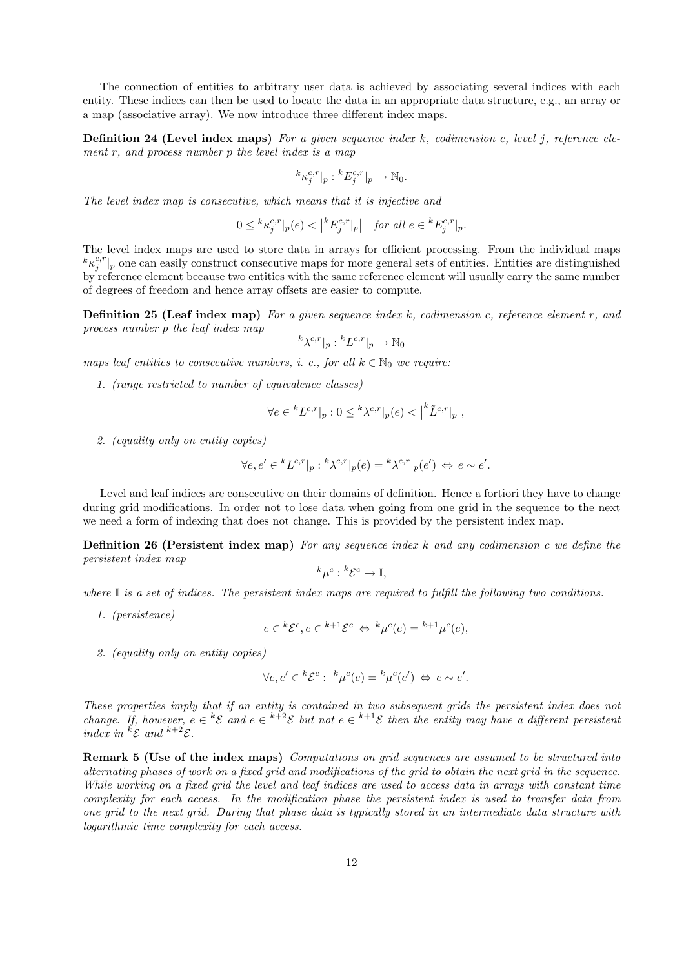The connection of entities to arbitrary user data is achieved by associating several indices with each entity. These indices can then be used to locate the data in an appropriate data structure, e.g., an array or a map (associative array). We now introduce three different index maps.

**Definition 24 (Level index maps)** For a given sequence index  $k$ , codimension c, level j, reference element  $r$ , and process number  $p$  the level index is a map

$$
{}^{k}\kappa_j^{c,r}|_p : {}^{k}E_j^{c,r}|_p \to \mathbb{N}_0.
$$

The level index map is consecutive, which means that it is injective and

$$
0\le {}^k\kappa_j^{c,r}|_p(e)<\left| {}^kE_j^{c,r}|_p\right|\quad \textit{for all }e\in {}^kE_j^{c,r}|_p.
$$

The level index maps are used to store data in arrays for efficient processing. From the individual maps  ${}^k\kappa_j^{c,r}|_p$  one can easily construct consecutive maps for more general sets of entities. Entities are distinguished by reference element because two entities with the same reference element will usually carry the same number of degrees of freedom and hence array offsets are easier to compute.

**Definition 25 (Leaf index map)** For a given sequence index  $k$ , codimension c, reference element  $r$ , and process number p the leaf index map

$$
{}^{k}\lambda^{c,r}|_{p}:{}^{k}L^{c,r}|_{p}\to \mathbb{N}_{0}
$$

maps leaf entities to consecutive numbers, i. e., for all  $k \in \mathbb{N}_0$  we require:

1. (range restricted to number of equivalence classes)

$$
\forall e \in {}^{k}L^{c,r}|_{p} : 0 \leq {}^{k}\lambda^{c,r}|_{p}(e) < \left| {}^{k}\tilde{L}^{c,r}|_{p} \right|,
$$

2. (equality only on entity copies)

$$
\forall e, e' \in {}^{k}L^{c,r}|_{p} : {}^{k}\lambda^{c,r}|_{p}(e) = {}^{k}\lambda^{c,r}|_{p}(e') \Leftrightarrow e \sim e'.
$$

Level and leaf indices are consecutive on their domains of definition. Hence a fortiori they have to change during grid modifications. In order not to lose data when going from one grid in the sequence to the next we need a form of indexing that does not change. This is provided by the persistent index map.

**Definition 26 (Persistent index map)** For any sequence index k and any codimension c we define the persistent index map

$$
{}^{k}\mu^{c} : {}^{k}\mathcal{E}^{c} \to \mathbb{I},
$$

where  $\mathbb I$  is a set of indices. The persistent index maps are required to fulfill the following two conditions.

1. (persistence)

$$
e \in {}^{k}\mathcal{E}^{c}, e \in {}^{k+1}\mathcal{E}^{c} \Leftrightarrow {}^{k}\mu^{c}(e) = {}^{k+1}\mu^{c}(e),
$$

2. (equality only on entity copies)

$$
\forall e, e' \in {}^{k}\mathcal{E}^{c} : {}^{k}\mu^{c}(e) = {}^{k}\mu^{c}(e') \Leftrightarrow e \sim e'.
$$

These properties imply that if an entity is contained in two subsequent grids the persistent index does not change. If, however,  $e \in {}^k{\mathcal{E}}$  and  $e \in {}^{k+2}{\mathcal{E}}$  but not  $e \in {}^{k+1}{\mathcal{E}}$  then the entity may have a different persistent index in  ${}^k{\mathcal{E}}$  and  ${}^{k+2}{\mathcal{E}}$ .

Remark 5 (Use of the index maps) Computations on grid sequences are assumed to be structured into alternating phases of work on a fixed grid and modifications of the grid to obtain the next grid in the sequence. While working on a fixed grid the level and leaf indices are used to access data in arrays with constant time complexity for each access. In the modification phase the persistent index is used to transfer data from one grid to the next grid. During that phase data is typically stored in an intermediate data structure with logarithmic time complexity for each access.